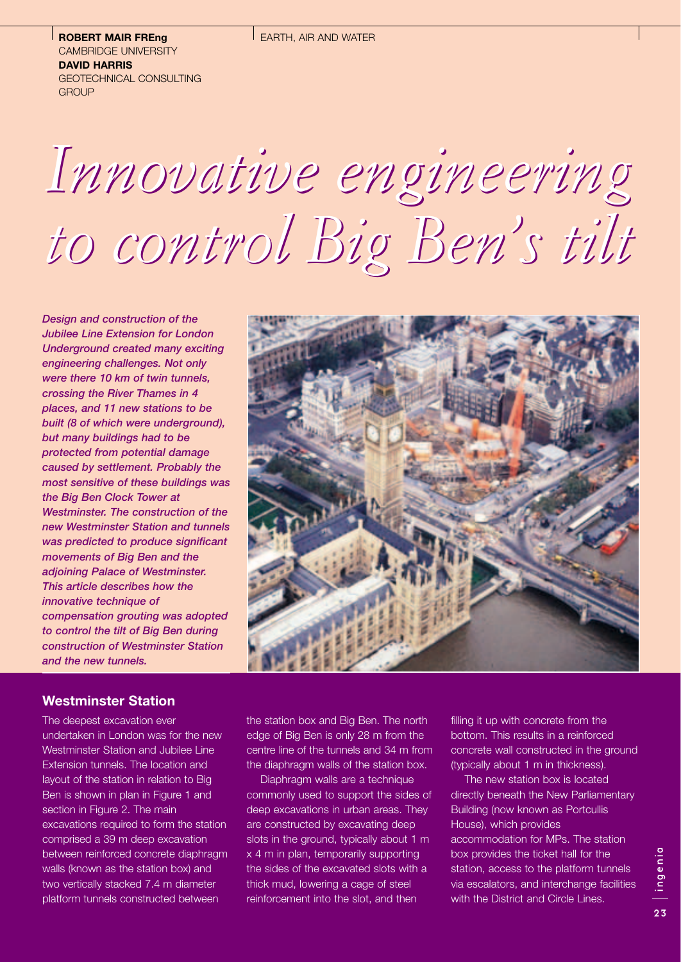**ROBERT MAIR FREng** CAMBRIDGE UNIVERSITY **DAVID HARRIS** GEOTECHNICAL CONSULTING **GROUP** 

# *Innovative engineering Innovative engineering to control Big Ben's tilt to control Big Ben's tilt*

*Design and construction of the Jubilee Line Extension for London Underground created many exciting engineering challenges. Not only were there 10 km of twin tunnels, crossing the River Thames in 4 places, and 11 new stations to be built (8 of which were underground), but many buildings had to be protected from potential damage caused by settlement. Probably the most sensitive of these buildings was the Big Ben Clock Tower at Westminster. The construction of the new Westminster Station and tunnels was predicted to produce significant movements of Big Ben and the adjoining Palace of Westminster. This article describes how the innovative technique of compensation grouting was adopted to control the tilt of Big Ben during construction of Westminster Station and the new tunnels.*



## **Westminster Station**

The deepest excavation ever undertaken in London was for the new Westminster Station and Jubilee Line Extension tunnels. The location and layout of the station in relation to Big Ben is shown in plan in Figure 1 and section in Figure 2. The main excavations required to form the station comprised a 39 m deep excavation between reinforced concrete diaphragm walls (known as the station box) and two vertically stacked 7.4 m diameter platform tunnels constructed between

the station box and Big Ben. The north edge of Big Ben is only 28 m from the centre line of the tunnels and 34 m from the diaphragm walls of the station box.

Diaphragm walls are a technique commonly used to support the sides of deep excavations in urban areas. They are constructed by excavating deep slots in the ground, typically about 1 m x 4 m in plan, temporarily supporting the sides of the excavated slots with a thick mud, lowering a cage of steel reinforcement into the slot, and then

filling it up with concrete from the bottom. This results in a reinforced concrete wall constructed in the ground (typically about 1 m in thickness).

The new station box is located directly beneath the New Parliamentary Building (now known as Portcullis House), which provides accommodation for MPs. The station box provides the ticket hall for the station, access to the platform tunnels via escalators, and interchange facilities with the District and Circle Lines.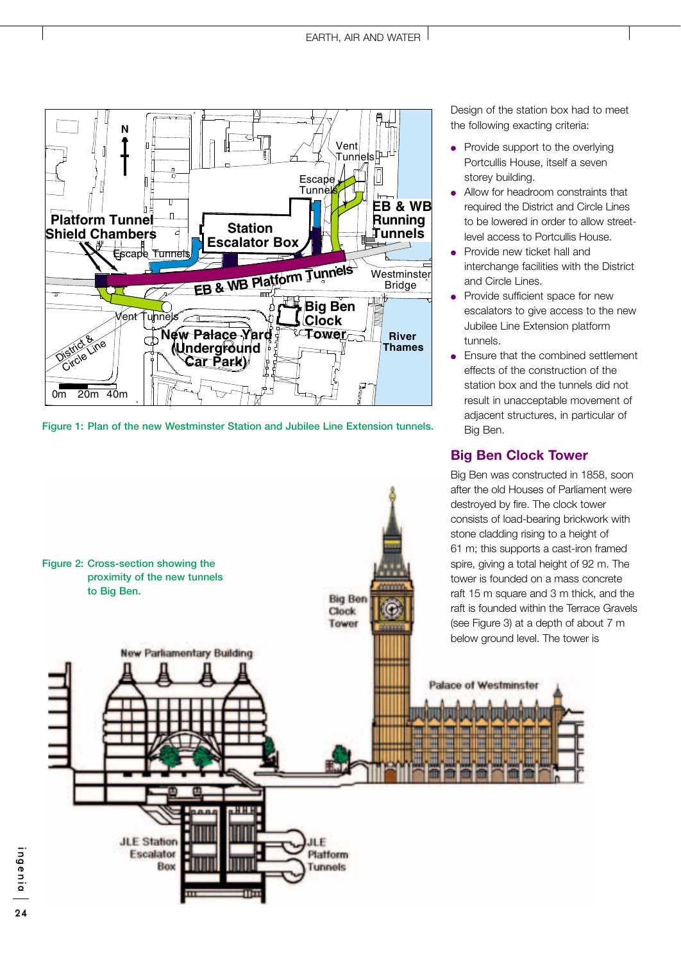

**Figure 1: Plan of the new Westminster Station and Jubilee Line Extension tunnels.**



Design of the station box had to meet the following exacting criteria:

- Provide support to the overlying Portcullis House, itself a seven storey building.
- Allow for headroom constraints that required the District and Circle Lines to be lowered in order to allow streetlevel access to Portcullis House.
- Provide new ticket hall and interchange facilities with the District and Circle Lines.
- Provide sufficient space for new escalators to give access to the new Jubilee Line Extension platform tunnels.
- Ensure that the combined settlement effects of the construction of the station box and the tunnels did not result in unacceptable movement of adjacent structures, in particular of Big Ben.

# **Big Ben Clock Tower**

raft is founded within the Terrace Gravels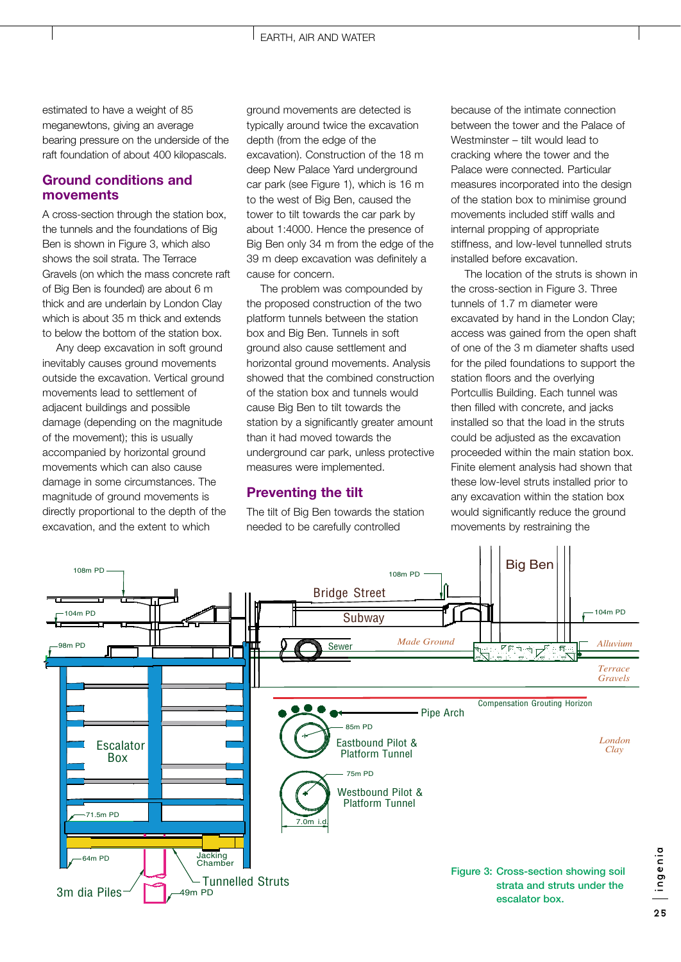estimated to have a weight of 85 meganewtons, giving an average bearing pressure on the underside of the raft foundation of about 400 kilopascals.

## **Ground conditions and movements**

A cross-section through the station box, the tunnels and the foundations of Big Ben is shown in Figure 3, which also shows the soil strata. The Terrace Gravels (on which the mass concrete raft of Big Ben is founded) are about 6 m thick and are underlain by London Clay which is about 35 m thick and extends to below the bottom of the station box.

Any deep excavation in soft ground inevitably causes ground movements outside the excavation. Vertical ground movements lead to settlement of adjacent buildings and possible damage (depending on the magnitude of the movement); this is usually accompanied by horizontal ground movements which can also cause damage in some circumstances. The magnitude of ground movements is directly proportional to the depth of the excavation, and the extent to which

ground movements are detected is typically around twice the excavation depth (from the edge of the excavation). Construction of the 18 m deep New Palace Yard underground car park (see Figure 1), which is 16 m to the west of Big Ben, caused the tower to tilt towards the car park by about 1:4000. Hence the presence of Big Ben only 34 m from the edge of the 39 m deep excavation was definitely a cause for concern.

The problem was compounded by the proposed construction of the two platform tunnels between the station box and Big Ben. Tunnels in soft ground also cause settlement and horizontal ground movements. Analysis showed that the combined construction of the station box and tunnels would cause Big Ben to tilt towards the station by a significantly greater amount than it had moved towards the underground car park, unless protective measures were implemented.

### **Preventing the tilt**

The tilt of Big Ben towards the station needed to be carefully controlled

because of the intimate connection between the tower and the Palace of Westminster – tilt would lead to cracking where the tower and the Palace were connected. Particular measures incorporated into the design of the station box to minimise ground movements included stiff walls and internal propping of appropriate stiffness, and low-level tunnelled struts installed before excavation.

The location of the struts is shown in the cross-section in Figure 3. Three tunnels of 1.7 m diameter were excavated by hand in the London Clay; access was gained from the open shaft of one of the 3 m diameter shafts used for the piled foundations to support the station floors and the overlying Portcullis Building. Each tunnel was then filled with concrete, and jacks installed so that the load in the struts could be adjusted as the excavation proceeded within the main station box. Finite element analysis had shown that these low-level struts installed prior to any excavation within the station box would significantly reduce the ground movements by restraining the

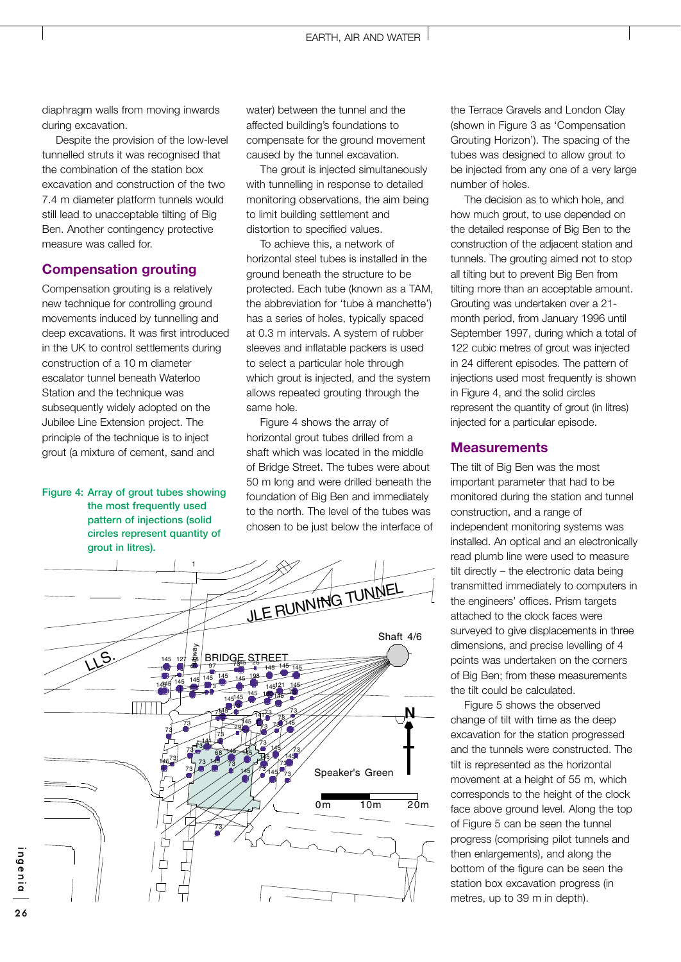diaphragm walls from moving inwards during excavation.

Despite the provision of the low-level tunnelled struts it was recognised that the combination of the station box excavation and construction of the two 7.4 m diameter platform tunnels would still lead to unacceptable tilting of Big Ben. Another contingency protective measure was called for.

### **Compensation grouting**

Compensation grouting is a relatively new technique for controlling ground movements induced by tunnelling and deep excavations. It was first introduced in the UK to control settlements during construction of a 10 m diameter escalator tunnel beneath Waterloo Station and the technique was subsequently widely adopted on the Jubilee Line Extension project. The principle of the technique is to inject grout (a mixture of cement, sand and

### **Figure 4: Array of grout tubes showing the most frequently used pattern of injections (solid circles represent quantity of grout in litres).**

water) between the tunnel and the affected building's foundations to compensate for the ground movement caused by the tunnel excavation.

The grout is injected simultaneously with tunnelling in response to detailed monitoring observations, the aim being to limit building settlement and distortion to specified values.

To achieve this, a network of horizontal steel tubes is installed in the ground beneath the structure to be protected. Each tube (known as a TAM, the abbreviation for 'tube à manchette') has a series of holes, typically spaced at 0.3 m intervals. A system of rubber sleeves and inflatable packers is used to select a particular hole through which grout is injected, and the system allows repeated grouting through the same hole.

Figure 4 shows the array of horizontal grout tubes drilled from a shaft which was located in the middle of Bridge Street. The tubes were about 50 m long and were drilled beneath the foundation of Big Ben and immediately to the north. The level of the tubes was chosen to be just below the interface of



the Terrace Gravels and London Clay (shown in Figure 3 as 'Compensation Grouting Horizon'). The spacing of the tubes was designed to allow grout to be injected from any one of a very large number of holes.

The decision as to which hole, and how much grout, to use depended on the detailed response of Big Ben to the construction of the adjacent station and tunnels. The grouting aimed not to stop all tilting but to prevent Big Ben from tilting more than an acceptable amount. Grouting was undertaken over a 21 month period, from January 1996 until September 1997, during which a total of 122 cubic metres of grout was injected in 24 different episodes. The pattern of injections used most frequently is shown in Figure 4, and the solid circles represent the quantity of grout (in litres) injected for a particular episode.

### **Measurements**

The tilt of Big Ben was the most important parameter that had to be monitored during the station and tunnel construction, and a range of independent monitoring systems was installed. An optical and an electronically read plumb line were used to measure tilt directly – the electronic data being transmitted immediately to computers in the engineers' offices. Prism targets attached to the clock faces were surveyed to give displacements in three dimensions, and precise levelling of 4 points was undertaken on the corners of Big Ben; from these measurements the tilt could be calculated.

Figure 5 shows the observed change of tilt with time as the deep excavation for the station progressed and the tunnels were constructed. The tilt is represented as the horizontal movement at a height of 55 m, which corresponds to the height of the clock face above ground level. Along the top of Figure 5 can be seen the tunnel progress (comprising pilot tunnels and then enlargements), and along the bottom of the figure can be seen the station box excavation progress (in metres, up to 39 m in depth).

ingenia